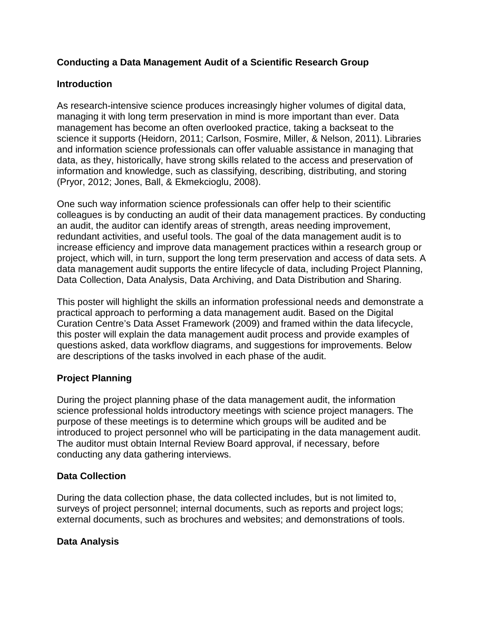## **Conducting a Data Management Audit of a Scientific Research Group**

### **Introduction**

As research-intensive science produces increasingly higher volumes of digital data, managing it with long term preservation in mind is more important than ever. Data management has become an often overlooked practice, taking a backseat to the science it supports (Heidorn, 2011; Carlson, Fosmire, Miller, & Nelson, 2011). Libraries and information science professionals can offer valuable assistance in managing that data, as they, historically, have strong skills related to the access and preservation of information and knowledge, such as classifying, describing, distributing, and storing (Pryor, 2012; Jones, Ball, & Ekmekcioglu, 2008).

One such way information science professionals can offer help to their scientific colleagues is by conducting an audit of their data management practices. By conducting an audit, the auditor can identify areas of strength, areas needing improvement, redundant activities, and useful tools. The goal of the data management audit is to increase efficiency and improve data management practices within a research group or project, which will, in turn, support the long term preservation and access of data sets. A data management audit supports the entire lifecycle of data, including Project Planning, Data Collection, Data Analysis, Data Archiving, and Data Distribution and Sharing.

This poster will highlight the skills an information professional needs and demonstrate a practical approach to performing a data management audit. Based on the Digital Curation Centre's Data Asset Framework (2009) and framed within the data lifecycle, this poster will explain the data management audit process and provide examples of questions asked, data workflow diagrams, and suggestions for improvements. Below are descriptions of the tasks involved in each phase of the audit.

# **Project Planning**

During the project planning phase of the data management audit, the information science professional holds introductory meetings with science project managers. The purpose of these meetings is to determine which groups will be audited and be introduced to project personnel who will be participating in the data management audit. The auditor must obtain Internal Review Board approval, if necessary, before conducting any data gathering interviews.

### **Data Collection**

During the data collection phase, the data collected includes, but is not limited to, surveys of project personnel; internal documents, such as reports and project logs; external documents, such as brochures and websites; and demonstrations of tools.

### **Data Analysis**